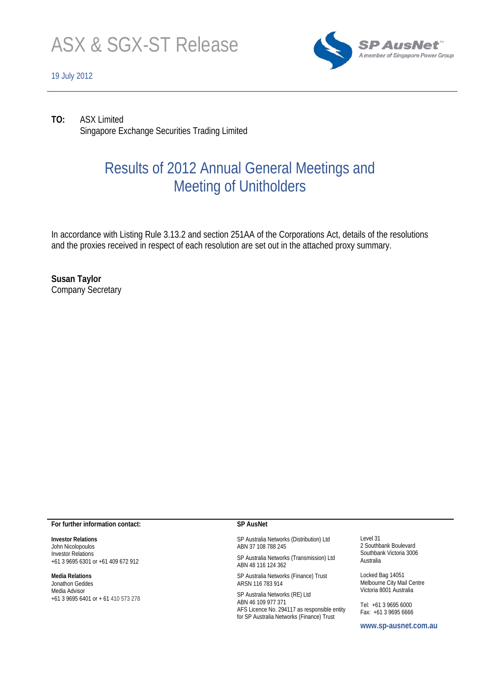

## 19 July 2012



**TO:** ASX Limited Singapore Exchange Securities Trading Limited

# Results of 2012 Annual General Meetings and Meeting of Unitholders

In accordance with Listing Rule 3.13.2 and section 251AA of the Corporations Act, details of the resolutions and the proxies received in respect of each resolution are set out in the attached proxy summary.

**Susan Taylor**  Company Secretary

## **For further information contact:**

**Investor Relations**  John Nicolopoulos Investor Relations +61 3 9695 6301 or +61 409 672 912

## **Media Relations**

Jonathon Geddes Media Advisor +61 3 9695 6401 or + 61 410 573 278

## **SP AusNet**

SP Australia Networks (Distribution) Ltd ABN 37 108 788 245

SP Australia Networks (Transmission) Ltd ABN 48 116 124 362

SP Australia Networks (Finance) Trust ARSN 116 783 914

SP Australia Networks (RE) Ltd ABN 46 109 977 371 AFS Licence No. 294117 as responsible entity for SP Australia Networks (Finance) Trust

Level 31 2 Southbank Boulevard Southbank Victoria 3006 Australia

Locked Bag 14051 Melbourne City Mail Centre Victoria 8001 Australia

Tel: +61 3 9695 6000 Fax: +61 3 9695 6666

**www.sp-ausnet.com.au**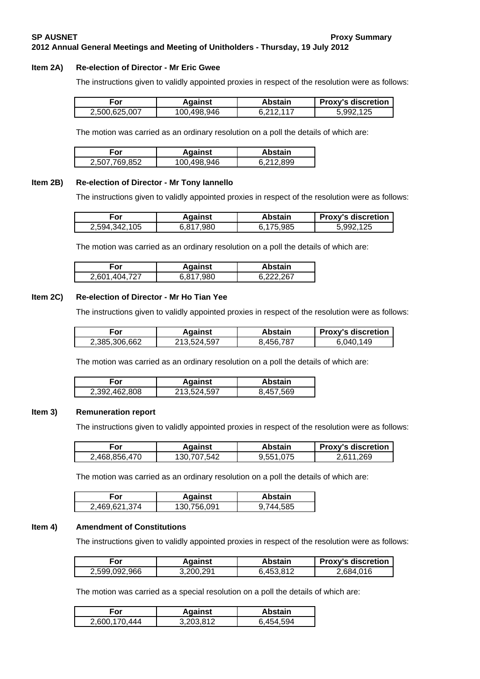# **SP AUSNET Proxy Summary 2012 Annual General Meetings and Meeting of Unitholders - Thursday, 19 July 2012**

#### **Item 2A) Re-election of Director - Mr Eric Gwee**

The instructions given to validly appointed proxies in respect of the resolution were as follows:

| For           | Against     | Abstain   | <b>Proxy's discretion</b> |
|---------------|-------------|-----------|---------------------------|
| 2.500.625.007 | 100.498.946 | R 212 117 | 5.992.125                 |

The motion was carried as an ordinary resolution on a poll the details of which are:

| -or           | <b>Against</b> | Abstain   |
|---------------|----------------|-----------|
| 2.507.769.852 | 100,498,946    | 6.212.899 |

#### **Item 2B) Re-election of Director - Mr Tony Iannello**

The instructions given to validly appointed proxies in respect of the resolution were as follows:

| For           | Against   | Abstain   | <b>Proxy's discretion</b> |
|---------------|-----------|-----------|---------------------------|
| 2,594,342,105 | 5.817.980 | 6.175.985 | 5.992.125                 |

The motion was carried as an ordinary resolution on a poll the details of which are:

| ∙or     | <b>Against</b> | Abstain |
|---------|----------------|---------|
| 404 727 | 980            | 267     |
| 2,601   | G 917          | e ooo   |

#### **Item 2C) Re-election of Director - Mr Ho Tian Yee**

The instructions given to validly appointed proxies in respect of the resolution were as follows:

| For           | Against     | Abstain   | <b>Proxy's discretion</b> |
|---------------|-------------|-----------|---------------------------|
| 2.385.306.662 | 213.524.597 | 8.456.787 | 149<br>6.040.             |

The motion was carried as an ordinary resolution on a poll the details of which are:

| .-ืor         | <b>Against</b> | <b>Abstain</b> |
|---------------|----------------|----------------|
| 2.392.462.808 | 213.524.597    | 8.457.569      |

#### **Item 3) Remuneration report**

The instructions given to validly appointed proxies in respect of the resolution were as follows:

| For           | Against     | Abstain   | <b>Proxy's discretion</b> |
|---------------|-------------|-----------|---------------------------|
| 2.468.856.470 | 130,707,542 | 9,551,075 | 2.611.269                 |

The motion was carried as an ordinary resolution on a poll the details of which are:

| For           | <b>Against</b> | Abstain         |
|---------------|----------------|-----------------|
| 2.469.621.374 | 130,756,091    | .744.585<br>9., |

#### **Item 4) Amendment of Constitutions**

The instructions given to validly appointed proxies in respect of the resolution were as follows:

| ∈or           | <b>Against</b> | Abstain   | <b>Proxy's discretion</b> |
|---------------|----------------|-----------|---------------------------|
| 2,599,092,966 | 3,200,291      | 6,453,812 | 2.684.016                 |

The motion was carried as a special resolution on a poll the details of which are:

| For           | <b>Against</b> | Abstain   |
|---------------|----------------|-----------|
| 2.600.170.444 | 3,203,812      | 6.454.594 |